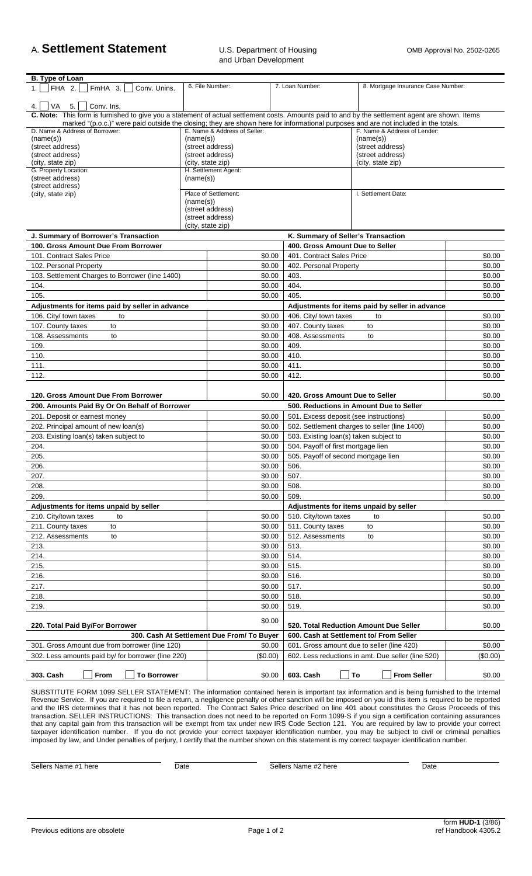## A. **Settlement Statement** U.S. Department of Housing OMB Approval No. 2502-0265

| B. Type of Loan                                                                                                                                  |                                                              |                      |  |                                                 |                                                    |          |  |
|--------------------------------------------------------------------------------------------------------------------------------------------------|--------------------------------------------------------------|----------------------|--|-------------------------------------------------|----------------------------------------------------|----------|--|
| FHA 2.<br>FmHA 3.<br>Conv. Unins.                                                                                                                | 6. File Number:                                              |                      |  | 7. Loan Number:                                 | 8. Mortgage Insurance Case Number:                 |          |  |
| VA<br>$5.$   $Conv.$ Ins.<br>4. I                                                                                                                |                                                              |                      |  |                                                 |                                                    |          |  |
| C. Note: This form is furnished to give you a statement of actual settlement costs. Amounts paid to and by the settlement agent are shown. Items |                                                              |                      |  |                                                 |                                                    |          |  |
| marked "(p.o.c.)" were paid outside the closing; they are shown here for informational purposes and are not included in the totals.              |                                                              |                      |  |                                                 |                                                    |          |  |
| D. Name & Address of Borrower:                                                                                                                   | E. Name & Address of Seller:<br>F. Name & Address of Lender: |                      |  |                                                 |                                                    |          |  |
| (name(s))<br>(street address)                                                                                                                    |                                                              | (name(s))            |  |                                                 | (name(s))<br>(street address)                      |          |  |
| (street address)                                                                                                                                 | (street address)<br>(street address)                         |                      |  |                                                 | (street address)                                   |          |  |
| (city, state zip)                                                                                                                                |                                                              | (city, state zip)    |  |                                                 | (city, state zip)                                  |          |  |
| G. Property Location:                                                                                                                            |                                                              | H. Settlement Agent: |  |                                                 |                                                    |          |  |
| (street address)<br>(street address)                                                                                                             | (name(s))                                                    |                      |  |                                                 |                                                    |          |  |
| (city, state zip)                                                                                                                                | Place of Settlement:                                         |                      |  |                                                 | I. Settlement Date:                                |          |  |
|                                                                                                                                                  | (name(s))                                                    |                      |  |                                                 |                                                    |          |  |
|                                                                                                                                                  |                                                              | (street address)     |  |                                                 |                                                    |          |  |
|                                                                                                                                                  |                                                              | (street address)     |  |                                                 |                                                    |          |  |
|                                                                                                                                                  |                                                              | (city, state zip)    |  |                                                 |                                                    |          |  |
| J. Summary of Borrower's Transaction                                                                                                             |                                                              |                      |  | K. Summary of Seller's Transaction              |                                                    |          |  |
| 100. Gross Amount Due From Borrower                                                                                                              |                                                              |                      |  | 400. Gross Amount Due to Seller                 |                                                    |          |  |
| 101. Contract Sales Price                                                                                                                        |                                                              | \$0.00               |  | 401. Contract Sales Price                       |                                                    | \$0.00   |  |
| 102. Personal Property                                                                                                                           |                                                              | \$0.00               |  | 402. Personal Property                          |                                                    | \$0.00   |  |
| 103. Settlement Charges to Borrower (line 1400)                                                                                                  |                                                              | \$0.00               |  | 403.                                            |                                                    | \$0.00   |  |
| 104.                                                                                                                                             |                                                              | \$0.00               |  | 404.                                            |                                                    | \$0.00   |  |
| 105.                                                                                                                                             |                                                              | \$0.00               |  | 405.                                            |                                                    | \$0.00   |  |
| Adjustments for items paid by seller in advance                                                                                                  |                                                              |                      |  | Adjustments for items paid by seller in advance |                                                    |          |  |
| 106. City/ town taxes<br>to                                                                                                                      |                                                              | \$0.00               |  | 406. City/ town taxes                           | to                                                 | \$0.00   |  |
| 107. County taxes<br>to                                                                                                                          |                                                              | \$0.00               |  | 407. County taxes                               | to                                                 | \$0.00   |  |
| 108. Assessments<br>to                                                                                                                           |                                                              | \$0.00               |  | 408. Assessments                                | \$0.00<br>to                                       |          |  |
| 109.                                                                                                                                             |                                                              | \$0.00               |  | 409.                                            |                                                    | \$0.00   |  |
| 110.                                                                                                                                             |                                                              | \$0.00               |  | 410.                                            | \$0.00                                             |          |  |
| 111.                                                                                                                                             |                                                              | \$0.00               |  | 411.                                            | \$0.00                                             |          |  |
| 112.                                                                                                                                             |                                                              | \$0.00               |  | 412.                                            |                                                    | \$0.00   |  |
|                                                                                                                                                  |                                                              |                      |  |                                                 |                                                    |          |  |
| 120. Gross Amount Due From Borrower                                                                                                              |                                                              | \$0.00               |  | 420. Gross Amount Due to Seller                 |                                                    | \$0.00   |  |
| 200. Amounts Paid By Or On Behalf of Borrower                                                                                                    |                                                              |                      |  |                                                 | 500. Reductions in Amount Due to Seller            |          |  |
| 201. Deposit or earnest money                                                                                                                    |                                                              | \$0.00               |  | 501. Excess deposit (see instructions)          |                                                    | \$0.00   |  |
| 202. Principal amount of new loan(s)                                                                                                             |                                                              | \$0.00               |  | 502. Settlement charges to seller (line 1400)   |                                                    | \$0.00   |  |
| 203. Existing loan(s) taken subject to                                                                                                           |                                                              | \$0.00               |  | 503. Existing loan(s) taken subject to          |                                                    | \$0.00   |  |
| 204.                                                                                                                                             |                                                              | \$0.00               |  | 504. Payoff of first mortgage lien              |                                                    | \$0.00   |  |
| 205.                                                                                                                                             |                                                              | \$0.00               |  | 505. Payoff of second mortgage lien             |                                                    | \$0.00   |  |
| 206.                                                                                                                                             |                                                              | \$0.00               |  | 506.                                            |                                                    | \$0.00   |  |
| 207.                                                                                                                                             |                                                              | \$0.00               |  | 507.                                            |                                                    | \$0.00   |  |
| 208.                                                                                                                                             |                                                              | \$0.00               |  | 508.                                            |                                                    | \$0.00   |  |
| 209.                                                                                                                                             |                                                              | \$0.00               |  | 509.                                            |                                                    | \$0.00   |  |
| Adjustments for items unpaid by seller                                                                                                           |                                                              |                      |  | Adjustments for items unpaid by seller          |                                                    |          |  |
| 210. City/town taxes<br>to                                                                                                                       |                                                              | \$0.00               |  | 510. City/town taxes                            | to                                                 | \$0.00   |  |
| 211. County taxes<br>to                                                                                                                          |                                                              | \$0.00               |  | 511. County taxes                               | to                                                 | \$0.00   |  |
| 212. Assessments<br>to                                                                                                                           |                                                              | \$0.00               |  | 512. Assessments                                | to                                                 | \$0.00   |  |
| 213.                                                                                                                                             |                                                              | \$0.00               |  | 513.                                            |                                                    | \$0.00   |  |
| 214.                                                                                                                                             |                                                              | \$0.00               |  | 514.                                            |                                                    | \$0.00   |  |
| 215.                                                                                                                                             |                                                              | \$0.00               |  | 515.                                            |                                                    | \$0.00   |  |
| 216.                                                                                                                                             |                                                              | \$0.00               |  | 516.                                            |                                                    | \$0.00   |  |
| 217.                                                                                                                                             |                                                              | \$0.00               |  | 517.                                            |                                                    | \$0.00   |  |
| 218.                                                                                                                                             |                                                              | \$0.00               |  | 518.                                            |                                                    | \$0.00   |  |
| 219.                                                                                                                                             |                                                              | \$0.00               |  | 519.                                            |                                                    | \$0.00   |  |
|                                                                                                                                                  |                                                              |                      |  |                                                 |                                                    |          |  |
| 220. Total Paid By/For Borrower                                                                                                                  |                                                              | \$0.00               |  |                                                 | 520. Total Reduction Amount Due Seller             | \$0.00   |  |
|                                                                                                                                                  | 300. Cash At Settlement Due From/ To Buyer                   |                      |  | 600. Cash at Settlement to/ From Seller         |                                                    |          |  |
| 301. Gross Amount due from borrower (line 120)                                                                                                   |                                                              | \$0.00               |  |                                                 | 601. Gross amount due to seller (line 420)         | \$0.00   |  |
| 302. Less amounts paid by/ for borrower (line 220)                                                                                               |                                                              | (\$0.00)             |  |                                                 | 602. Less reductions in amt. Due seller (line 520) | (\$0.00) |  |
| From<br><b>To Borrower</b><br>303. Cash                                                                                                          |                                                              | \$0.00               |  | 603. Cash                                       | <b>From Seller</b><br>To                           | \$0.00   |  |
|                                                                                                                                                  |                                                              |                      |  |                                                 |                                                    |          |  |

SUBSTITUTE FORM 1099 SELLER STATEMENT: The information contained herein is important tax information and is being furnished to the Internal Revenue Service. If you are required to file a return, a negligence penalty or other sanction will be imposed on you id this item is required to be reported and the IRS determines that it has not been reported. The Contract Sales Price described on line 401 about constitutes the Gross Proceeds of this transaction. SELLER INSTRUCTIONS: This transaction does not need to be reported on Form 1099-S if you sign a certification containing assurances that any capital gain from this transaction will be exempt from tax under new IRS Code Section 121. You are required by law to provide your correct taxpayer identification number. If you do not provide your correct taxpayer identification number, you may be subject to civil or criminal penalties imposed by law, and Under penalties of perjury, I certify that the number shown on this statement is my correct taxpayer identification number.

Sellers Name #1 here Date Date Date Sellers Name #2 here Date Date